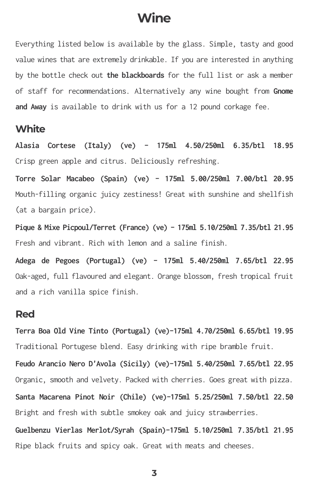# **Wine**

Everything listed below is available by the glass. Simple, tasty and good value wines that are extremely drinkable. If you are interested in anything by the bottle check out **the blackboards** for the full list or ask a member of staff for recommendations. Alternatively any wine bought from **Gnome and Away** is available to drink with us for a 12 pound corkage fee.

### **White**

**Alasia Cortese (Italy) (ve) - 175ml 4.50/250ml 6.35/btl 18.95** Crisp green apple and citrus. Deliciously refreshing.

**Torre Solar Macabeo (Spain) (ve) - 175ml 5.00/250ml 7.00/btl 20.95** Mouth-filling organic juicy zestiness! Great with sunshine and shellfish (at a bargain price).

**Pique & Mixe Picpoul/Terret (France) (ve) - 175ml 5.10/250ml 7.35/btl 21.95** Fresh and vibrant. Rich with lemon and a saline finish.

**Adega de Pegoes (Portugal) (ve) - 175ml 5.40/250ml 7.65/btl 22.95** Oak-aged, full flavoured and elegant. Orange blossom, fresh tropical fruit and a rich vanilla spice finish.

#### **Red**

**Terra Boa Old Vine Tinto (Portugal) (ve)-175ml 4.70/250ml 6.65/btl 19.95** Traditional Portugese blend. Easy drinking with ripe bramble fruit.

**Feudo Arancio Nero D'Avola (Sicily) (ve)-175ml 5.40/250ml 7.65/btl 22.95** Organic, smooth and velvety. Packed with cherries. Goes great with pizza.

**Santa Macarena Pinot Noir (Chile) (ve)-175ml 5.25/250ml 7.50/btl 22.50** Bright and fresh with subtle smokey oak and juicy strawberries.

**Guelbenzu Vierlas Merlot/Syrah (Spain)-175ml 5.10/250ml 7.35/btl 21.95** Ripe black fruits and spicy oak. Great with meats and cheeses.

**3**